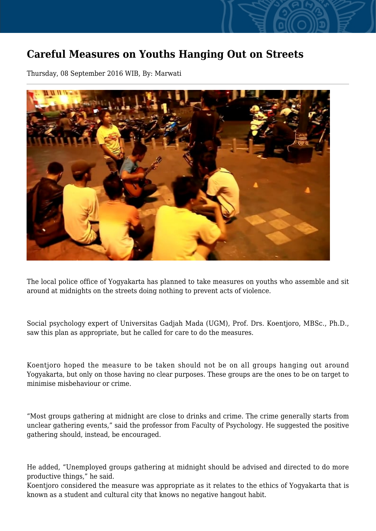## **Careful Measures on Youths Hanging Out on Streets**

Thursday, 08 September 2016 WIB, By: Marwati



The local police office of Yogyakarta has planned to take measures on youths who assemble and sit around at midnights on the streets doing nothing to prevent acts of violence.

Social psychology expert of Universitas Gadjah Mada (UGM), Prof. Drs. Koentjoro, MBSc., Ph.D., saw this plan as appropriate, but he called for care to do the measures.

Koentjoro hoped the measure to be taken should not be on all groups hanging out around Yogyakarta, but only on those having no clear purposes. These groups are the ones to be on target to minimise misbehaviour or crime.

"Most groups gathering at midnight are close to drinks and crime. The crime generally starts from unclear gathering events," said the professor from Faculty of Psychology. He suggested the positive gathering should, instead, be encouraged.

He added, "Unemployed groups gathering at midnight should be advised and directed to do more productive things," he said.

Koentjoro considered the measure was appropriate as it relates to the ethics of Yogyakarta that is known as a student and cultural city that knows no negative hangout habit.